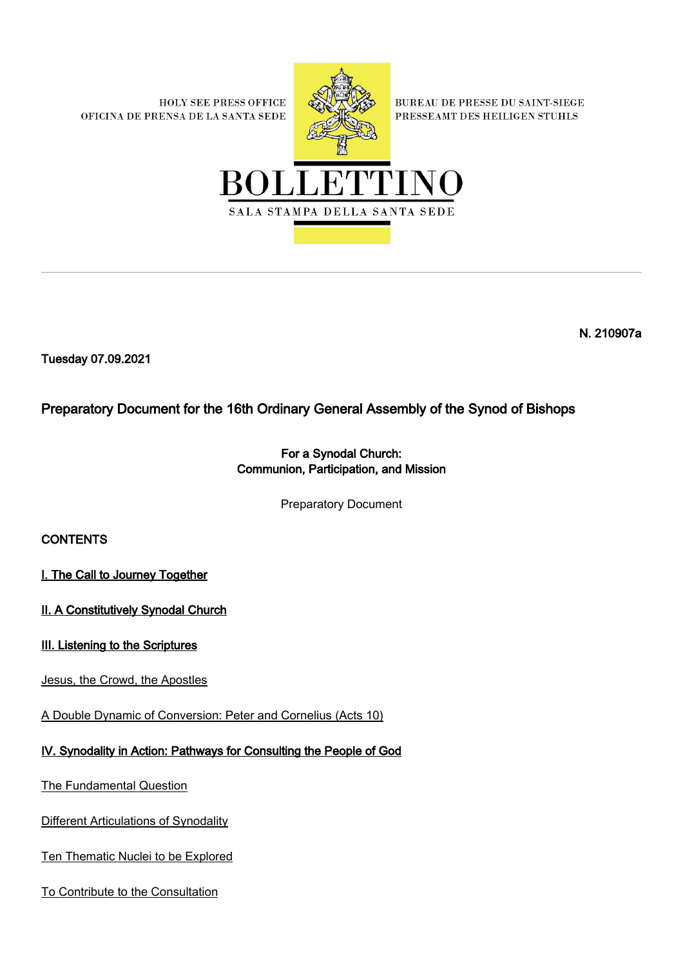**HOLY SEE PRESS OFFICE** OFICINA DE PRENSA DE LA SANTA SEDE



BUREAU DE PRESSE DU SAINT-SIEGE PRESSEAMT DES HEILIGEN STUHLS



N. 210907a

Tuesday 07.09.2021

Preparatory Document for the 16th Ordinary General Assembly of the Synod of Bishops

## For a Synodal Church: Communion, Participation, and Mission

Preparatory Document

# **CONTENTS**

I. The Call to Journey Together

II. A Constitutively Synodal Church

#### III. Listening to the Scriptures

[Jesus, the Crowd, the Apostles](https://press.vatican.va/content/salastampa/it/bollettino/pubblico/2021/09/07/0540/01156.scaffolding.html#treuno)

[A Double Dynamic of Conversion: Peter and Cornelius \(Acts 10\)](https://press.vatican.va/content/salastampa/it/bollettino/pubblico/2021/09/07/0540/01156.scaffolding.html#tredue)

## [IV. Synodality in Action: Pathways for Consulting the People of God](https://press.vatican.va/content/salastampa/it/bollettino/pubblico/2021/09/07/0540/01156.scaffolding.html#quattro)

[The Fundamental Question](https://press.vatican.va/content/salastampa/it/bollettino/pubblico/2021/09/07/0540/01156.scaffolding.html#quattrouno)

[Different Articulations of Synodality](https://press.vatican.va/content/salastampa/it/bollettino/pubblico/2021/09/07/0540/01156.scaffolding.html#quattrodue)

[Ten Thematic Nuclei to be Explored](https://press.vatican.va/content/salastampa/it/bollettino/pubblico/2021/09/07/0540/01156.scaffolding.html#quattrotre)

[To Contribute to the Consultation](https://press.vatican.va/content/salastampa/it/bollettino/pubblico/2021/09/07/0540/01156.scaffolding.html#quattroquattro)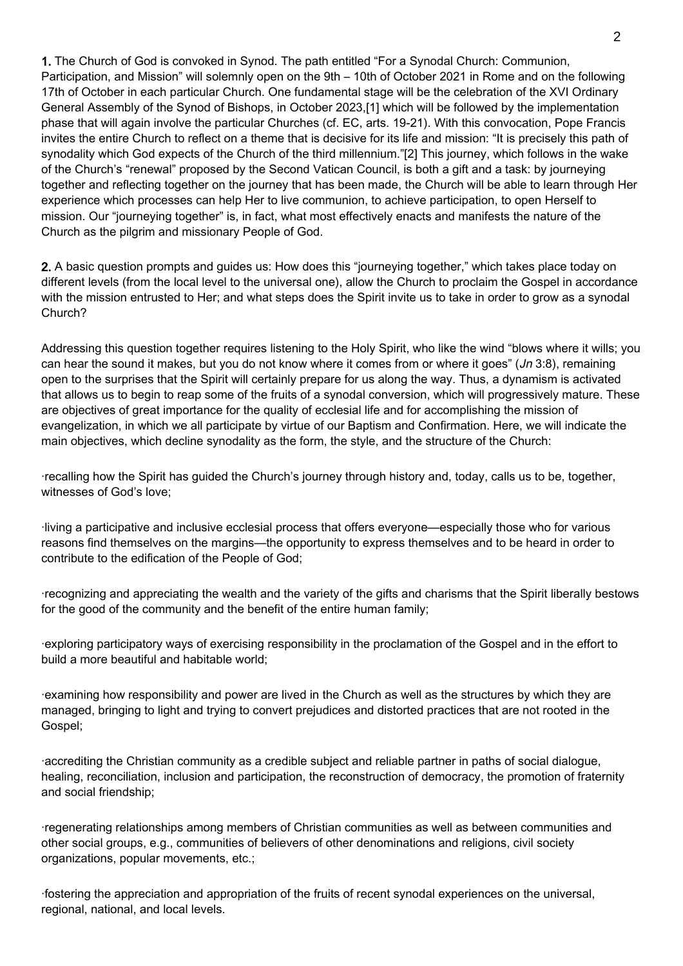1. The Church of God is convoked in Synod. The path entitled "For a Synodal Church: Communion, Participation, and Mission" will solemnly open on the 9th – 10th of October 2021 in Rome and on the following 17th of October in each particular Church. One fundamental stage will be the celebration of the XVI Ordinary General Assembly of the Synod of Bishops, in October 2023,[1] which will be followed by the implementation phase that will again involve the particular Churches (cf. EC, arts. 19-21). With this convocation, Pope Francis invites the entire Church to reflect on a theme that is decisive for its life and mission: "It is precisely this path of synodality which God expects of the Church of the third millennium."[2] This journey, which follows in the wake of the Church's "renewal" proposed by the Second Vatican Council, is both a gift and a task: by journeying together and reflecting together on the journey that has been made, the Church will be able to learn through Her experience which processes can help Her to live communion, to achieve participation, to open Herself to mission. Our "journeying together" is, in fact, what most effectively enacts and manifests the nature of the Church as the pilgrim and missionary People of God.

2. A basic question prompts and guides us: How does this "journeying together," which takes place today on different levels (from the local level to the universal one), allow the Church to proclaim the Gospel in accordance with the mission entrusted to Her; and what steps does the Spirit invite us to take in order to grow as a synodal Church?

Addressing this question together requires listening to the Holy Spirit, who like the wind "blows where it wills; you can hear the sound it makes, but you do not know where it comes from or where it goes" (*Jn* 3:8), remaining open to the surprises that the Spirit will certainly prepare for us along the way. Thus, a dynamism is activated that allows us to begin to reap some of the fruits of a synodal conversion, which will progressively mature. These are objectives of great importance for the quality of ecclesial life and for accomplishing the mission of evangelization, in which we all participate by virtue of our Baptism and Confirmation. Here, we will indicate the main objectives, which decline synodality as the form, the style, and the structure of the Church:

·recalling how the Spirit has guided the Church's journey through history and, today, calls us to be, together, witnesses of God's love;

·living a participative and inclusive ecclesial process that offers everyone—especially those who for various reasons find themselves on the margins—the opportunity to express themselves and to be heard in order to contribute to the edification of the People of God;

·recognizing and appreciating the wealth and the variety of the gifts and charisms that the Spirit liberally bestows for the good of the community and the benefit of the entire human family;

·exploring participatory ways of exercising responsibility in the proclamation of the Gospel and in the effort to build a more beautiful and habitable world;

·examining how responsibility and power are lived in the Church as well as the structures by which they are managed, bringing to light and trying to convert prejudices and distorted practices that are not rooted in the Gospel;

·accrediting the Christian community as a credible subject and reliable partner in paths of social dialogue, healing, reconciliation, inclusion and participation, the reconstruction of democracy, the promotion of fraternity and social friendship;

·regenerating relationships among members of Christian communities as well as between communities and other social groups, e.g., communities of believers of other denominations and religions, civil society organizations, popular movements, etc.;

·fostering the appreciation and appropriation of the fruits of recent synodal experiences on the universal, regional, national, and local levels.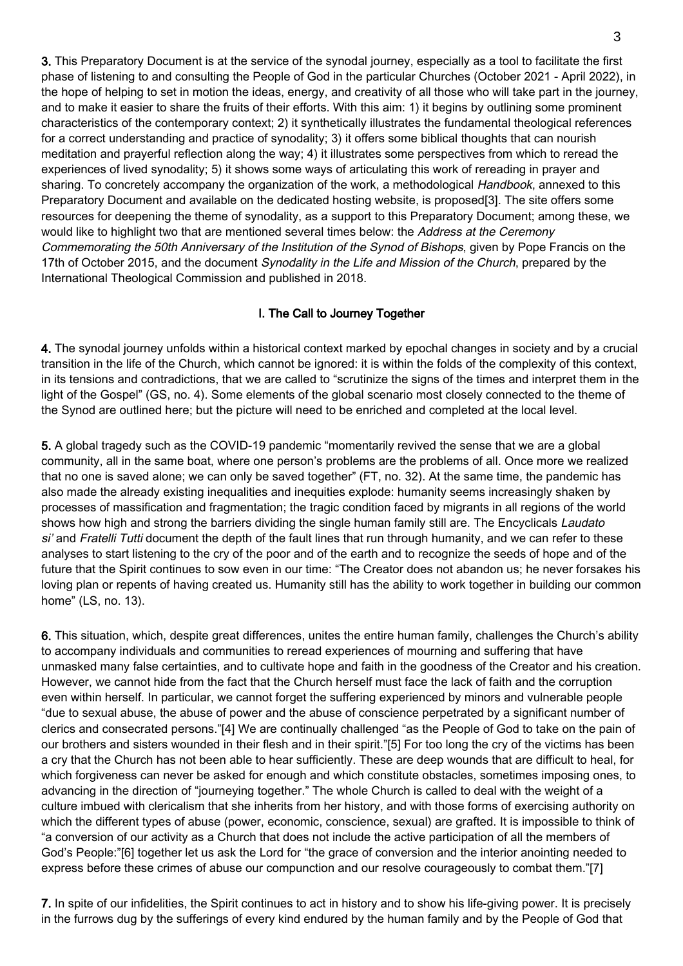3. This Preparatory Document is at the service of the synodal journey, especially as a tool to facilitate the first phase of listening to and consulting the People of God in the particular Churches (October 2021 - April 2022), in the hope of helping to set in motion the ideas, energy, and creativity of all those who will take part in the journey, and to make it easier to share the fruits of their efforts. With this aim: 1) it begins by outlining some prominent characteristics of the contemporary context; 2) it synthetically illustrates the fundamental theological references for a correct understanding and practice of synodality; 3) it offers some biblical thoughts that can nourish meditation and prayerful reflection along the way; 4) it illustrates some perspectives from which to reread the experiences of lived synodality; 5) it shows some ways of articulating this work of rereading in prayer and sharing. To concretely accompany the organization of the work, a methodological Handbook, annexed to this Preparatory Document and available on the dedicated hosting website, is proposed[3]. The site offers some resources for deepening the theme of synodality, as a support to this Preparatory Document; among these, we would like to highlight two that are mentioned several times below: the Address at the Ceremony Commemorating the 50th Anniversary of the Institution of the Synod of Bishops, given by Pope Francis on the 17th of October 2015, and the document Synodality in the Life and Mission of the Church, prepared by the International Theological Commission and published in 2018.

## I. The Call to Journey Together

4. The synodal journey unfolds within a historical context marked by epochal changes in society and by a crucial transition in the life of the Church, which cannot be ignored: it is within the folds of the complexity of this context, in its tensions and contradictions, that we are called to "scrutinize the signs of the times and interpret them in the light of the Gospel" (GS, no. 4). Some elements of the global scenario most closely connected to the theme of the Synod are outlined here; but the picture will need to be enriched and completed at the local level.

5. A global tragedy such as the COVID-19 pandemic "momentarily revived the sense that we are a global community, all in the same boat, where one person's problems are the problems of all. Once more we realized that no one is saved alone; we can only be saved together" (FT, no. 32). At the same time, the pandemic has also made the already existing inequalities and inequities explode: humanity seems increasingly shaken by processes of massification and fragmentation; the tragic condition faced by migrants in all regions of the world shows how high and strong the barriers dividing the single human family still are. The Encyclicals Laudato si' and Fratelli Tutti document the depth of the fault lines that run through humanity, and we can refer to these analyses to start listening to the cry of the poor and of the earth and to recognize the seeds of hope and of the future that the Spirit continues to sow even in our time: "The Creator does not abandon us; he never forsakes his loving plan or repents of having created us. Humanity still has the ability to work together in building our common home" (LS, no. 13).

6. This situation, which, despite great differences, unites the entire human family, challenges the Church's ability to accompany individuals and communities to reread experiences of mourning and suffering that have unmasked many false certainties, and to cultivate hope and faith in the goodness of the Creator and his creation. However, we cannot hide from the fact that the Church herself must face the lack of faith and the corruption even within herself. In particular, we cannot forget the suffering experienced by minors and vulnerable people "due to sexual abuse, the abuse of power and the abuse of conscience perpetrated by a significant number of clerics and consecrated persons."[4] We are continually challenged "as the People of God to take on the pain of our brothers and sisters wounded in their flesh and in their spirit."[5] For too long the cry of the victims has been a cry that the Church has not been able to hear sufficiently. These are deep wounds that are difficult to heal, for which forgiveness can never be asked for enough and which constitute obstacles, sometimes imposing ones, to advancing in the direction of "journeying together." The whole Church is called to deal with the weight of a culture imbued with clericalism that she inherits from her history, and with those forms of exercising authority on which the different types of abuse (power, economic, conscience, sexual) are grafted. It is impossible to think of "a conversion of our activity as a Church that does not include the active participation of all the members of God's People:"[6] together let us ask the Lord for "the grace of conversion and the interior anointing needed to express before these crimes of abuse our compunction and our resolve courageously to combat them."[7]

7. In spite of our infidelities, the Spirit continues to act in history and to show his life-giving power. It is precisely in the furrows dug by the sufferings of every kind endured by the human family and by the People of God that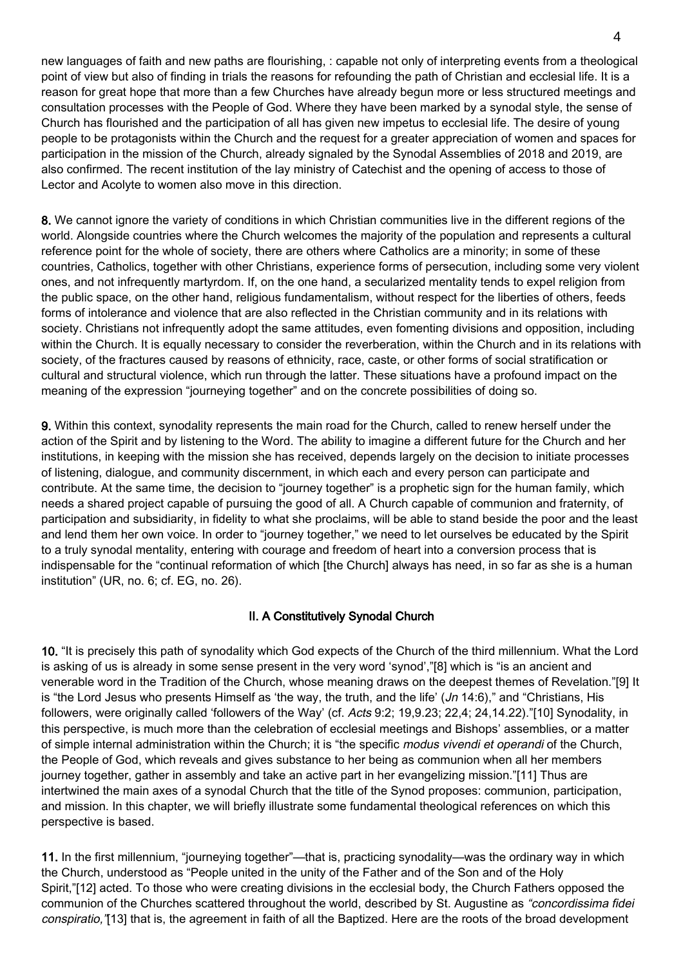new languages of faith and new paths are flourishing, : capable not only of interpreting events from a theological point of view but also of finding in trials the reasons for refounding the path of Christian and ecclesial life. It is a reason for great hope that more than a few Churches have already begun more or less structured meetings and consultation processes with the People of God. Where they have been marked by a synodal style, the sense of Church has flourished and the participation of all has given new impetus to ecclesial life. The desire of young people to be protagonists within the Church and the request for a greater appreciation of women and spaces for participation in the mission of the Church, already signaled by the Synodal Assemblies of 2018 and 2019, are also confirmed. The recent institution of the lay ministry of Catechist and the opening of access to those of Lector and Acolyte to women also move in this direction.

8. We cannot ignore the variety of conditions in which Christian communities live in the different regions of the world. Alongside countries where the Church welcomes the majority of the population and represents a cultural reference point for the whole of society, there are others where Catholics are a minority; in some of these countries, Catholics, together with other Christians, experience forms of persecution, including some very violent ones, and not infrequently martyrdom. If, on the one hand, a secularized mentality tends to expel religion from the public space, on the other hand, religious fundamentalism, without respect for the liberties of others, feeds forms of intolerance and violence that are also reflected in the Christian community and in its relations with society. Christians not infrequently adopt the same attitudes, even fomenting divisions and opposition, including within the Church. It is equally necessary to consider the reverberation, within the Church and in its relations with society, of the fractures caused by reasons of ethnicity, race, caste, or other forms of social stratification or cultural and structural violence, which run through the latter. These situations have a profound impact on the meaning of the expression "journeying together" and on the concrete possibilities of doing so.

9. Within this context, synodality represents the main road for the Church, called to renew herself under the action of the Spirit and by listening to the Word. The ability to imagine a different future for the Church and her institutions, in keeping with the mission she has received, depends largely on the decision to initiate processes of listening, dialogue, and community discernment, in which each and every person can participate and contribute. At the same time, the decision to "journey together" is a prophetic sign for the human family, which needs a shared project capable of pursuing the good of all. A Church capable of communion and fraternity, of participation and subsidiarity, in fidelity to what she proclaims, will be able to stand beside the poor and the least and lend them her own voice. In order to "journey together," we need to let ourselves be educated by the Spirit to a truly synodal mentality, entering with courage and freedom of heart into a conversion process that is indispensable for the "continual reformation of which [the Church] always has need, in so far as she is a human institution" (UR, no. 6; cf. EG, no. 26).

#### II. A Constitutively Synodal Church

10. "It is precisely this path of synodality which God expects of the Church of the third millennium. What the Lord is asking of us is already in some sense present in the very word 'synod',"[8] which is "is an ancient and venerable word in the Tradition of the Church, whose meaning draws on the deepest themes of Revelation."[9] It is "the Lord Jesus who presents Himself as 'the way, the truth, and the life'  $(Jn 14:6)$ ," and "Christians, His followers, were originally called 'followers of the Way' (cf. Acts 9:2; 19,9.23; 22,4; 24,14.22)."[10] Synodality, in this perspective, is much more than the celebration of ecclesial meetings and Bishops' assemblies, or a matter of simple internal administration within the Church; it is "the specific modus vivendi et operandi of the Church, the People of God, which reveals and gives substance to her being as communion when all her members journey together, gather in assembly and take an active part in her evangelizing mission."[11] Thus are intertwined the main axes of a synodal Church that the title of the Synod proposes: communion, participation, and mission. In this chapter, we will briefly illustrate some fundamental theological references on which this perspective is based.

11. In the first millennium, "journeying together"—that is, practicing synodality—was the ordinary way in which the Church, understood as "People united in the unity of the Father and of the Son and of the Holy Spirit,"[12] acted. To those who were creating divisions in the ecclesial body, the Church Fathers opposed the communion of the Churches scattered throughout the world, described by St. Augustine as "concordissima fidei conspiratio,"[13] that is, the agreement in faith of all the Baptized. Here are the roots of the broad development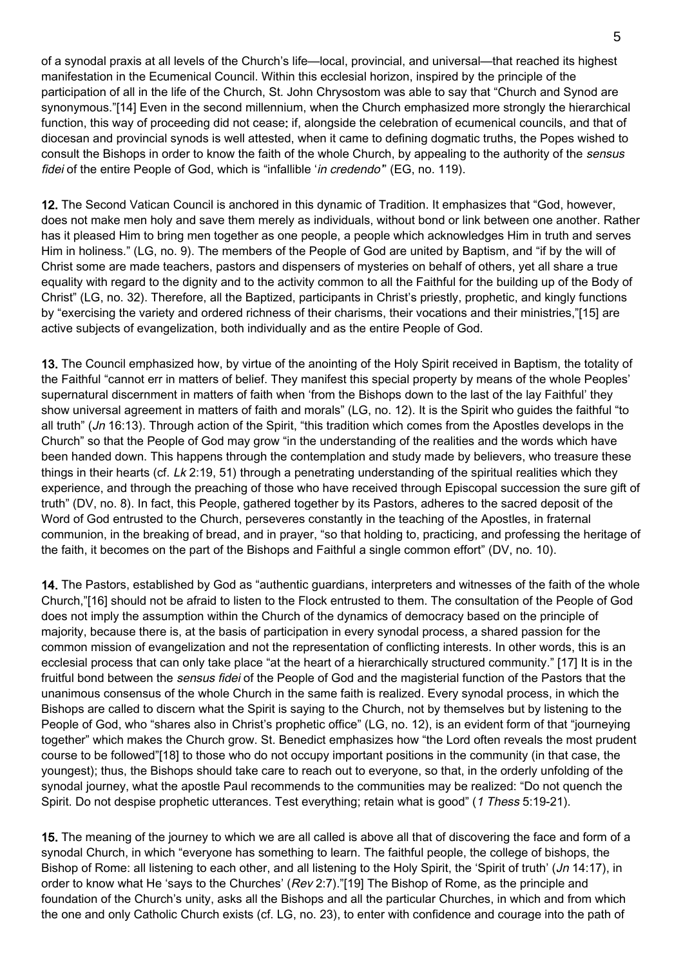of a synodal praxis at all levels of the Church's life—local, provincial, and universal—that reached its highest manifestation in the Ecumenical Council. Within this ecclesial horizon, inspired by the principle of the participation of all in the life of the Church, St. John Chrysostom was able to say that "Church and Synod are synonymous."[14] Even in the second millennium, when the Church emphasized more strongly the hierarchical function, this way of proceeding did not cease: if, alongside the celebration of ecumenical councils, and that of diocesan and provincial synods is well attested, when it came to defining dogmatic truths, the Popes wished to consult the Bishops in order to know the faith of the whole Church, by appealing to the authority of the sensus fidei of the entire People of God, which is "infallible 'in credendo" (EG, no. 119).

12. The Second Vatican Council is anchored in this dynamic of Tradition. It emphasizes that "God, however, does not make men holy and save them merely as individuals, without bond or link between one another. Rather has it pleased Him to bring men together as one people, a people which acknowledges Him in truth and serves Him in holiness." (LG, no. 9). The members of the People of God are united by Baptism, and "if by the will of Christ some are made teachers, pastors and dispensers of mysteries on behalf of others, yet all share a true equality with regard to the dignity and to the activity common to all the Faithful for the building up of the Body of Christ" (LG, no. 32). Therefore, all the Baptized, participants in Christ's priestly, prophetic, and kingly functions by "exercising the variety and ordered richness of their charisms, their vocations and their ministries,"[15] are active subjects of evangelization, both individually and as the entire People of God.

13. The Council emphasized how, by virtue of the anointing of the Holy Spirit received in Baptism, the totality of the Faithful "cannot err in matters of belief. They manifest this special property by means of the whole Peoples' supernatural discernment in matters of faith when 'from the Bishops down to the last of the lay Faithful' they show universal agreement in matters of faith and morals" (LG, no. 12). It is the Spirit who guides the faithful "to all truth" (Jn 16:13). Through action of the Spirit, "this tradition which comes from the Apostles develops in the Church" so that the People of God may grow "in the understanding of the realities and the words which have been handed down. This happens through the contemplation and study made by believers, who treasure these things in their hearts (cf.  $Lk$  2:19, 51) through a penetrating understanding of the spiritual realities which they experience, and through the preaching of those who have received through Episcopal succession the sure gift of truth" (DV, no. 8). In fact, this People, gathered together by its Pastors, adheres to the sacred deposit of the Word of God entrusted to the Church, perseveres constantly in the teaching of the Apostles, in fraternal communion, in the breaking of bread, and in prayer, "so that holding to, practicing, and professing the heritage of the faith, it becomes on the part of the Bishops and Faithful a single common effort" (DV, no. 10).

14. The Pastors, established by God as "authentic guardians, interpreters and witnesses of the faith of the whole Church,"[16] should not be afraid to listen to the Flock entrusted to them. The consultation of the People of God does not imply the assumption within the Church of the dynamics of democracy based on the principle of majority, because there is, at the basis of participation in every synodal process, a shared passion for the common mission of evangelization and not the representation of conflicting interests. In other words, this is an ecclesial process that can only take place "at the heart of a hierarchically structured community." [17] It is in the fruitful bond between the sensus fidei of the People of God and the magisterial function of the Pastors that the unanimous consensus of the whole Church in the same faith is realized. Every synodal process, in which the Bishops are called to discern what the Spirit is saying to the Church, not by themselves but by listening to the People of God, who "shares also in Christ's prophetic office" (LG, no. 12), is an evident form of that "journeying together" which makes the Church grow. St. Benedict emphasizes how "the Lord often reveals the most prudent course to be followed"[18] to those who do not occupy important positions in the community (in that case, the youngest); thus, the Bishops should take care to reach out to everyone, so that, in the orderly unfolding of the synodal journey, what the apostle Paul recommends to the communities may be realized: "Do not quench the Spirit. Do not despise prophetic utterances. Test everything; retain what is good" (1 Thess 5:19-21).

15. The meaning of the journey to which we are all called is above all that of discovering the face and form of a synodal Church, in which "everyone has something to learn. The faithful people, the college of bishops, the Bishop of Rome: all listening to each other, and all listening to the Holy Spirit, the 'Spirit of truth' (Jn 14:17), in order to know what He 'says to the Churches' (Rev 2:7)."[19] The Bishop of Rome, as the principle and foundation of the Church's unity, asks all the Bishops and all the particular Churches, in which and from which the one and only Catholic Church exists (cf. LG, no. 23), to enter with confidence and courage into the path of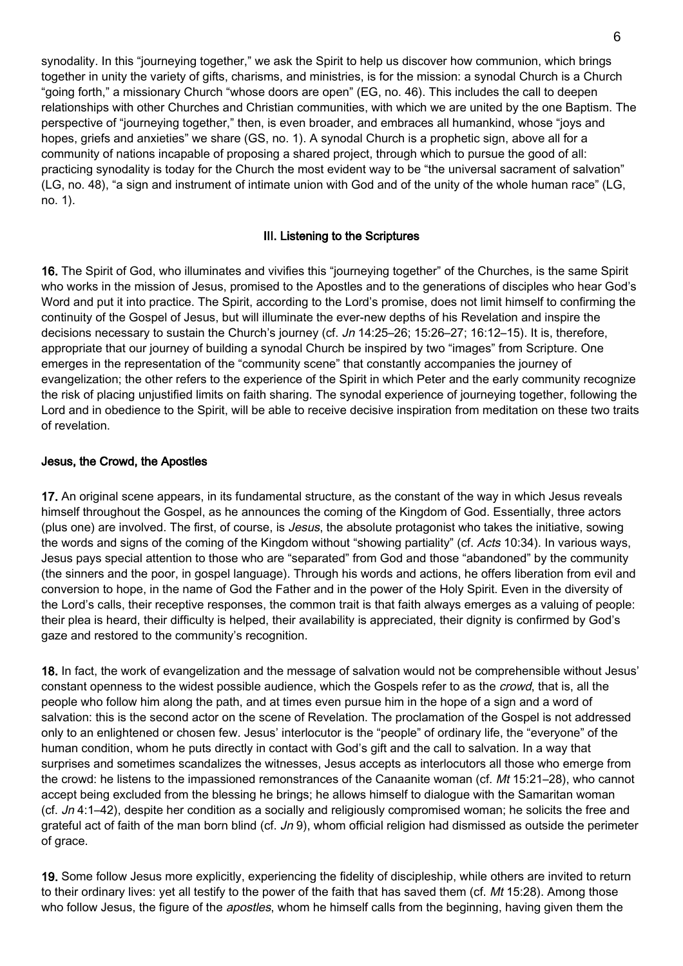synodality. In this "journeying together," we ask the Spirit to help us discover how communion, which brings together in unity the variety of gifts, charisms, and ministries, is for the mission: a synodal Church is a Church "going forth," a missionary Church "whose doors are open" (EG, no. 46). This includes the call to deepen relationships with other Churches and Christian communities, with which we are united by the one Baptism. The perspective of "journeying together," then, is even broader, and embraces all humankind, whose "joys and hopes, griefs and anxieties" we share (GS, no. 1). A synodal Church is a prophetic sign, above all for a community of nations incapable of proposing a shared project, through which to pursue the good of all: practicing synodality is today for the Church the most evident way to be "the universal sacrament of salvation" (LG, no. 48), "a sign and instrument of intimate union with God and of the unity of the whole human race" (LG, no. 1).

#### III. Listening to the Scriptures

16. The Spirit of God, who illuminates and vivifies this "journeying together" of the Churches, is the same Spirit who works in the mission of Jesus, promised to the Apostles and to the generations of disciples who hear God's Word and put it into practice. The Spirit, according to the Lord's promise, does not limit himself to confirming the continuity of the Gospel of Jesus, but will illuminate the ever-new depths of his Revelation and inspire the decisions necessary to sustain the Church's journey (cf. Jn 14:25–26; 15:26–27; 16:12–15). It is, therefore, appropriate that our journey of building a synodal Church be inspired by two "images" from Scripture. One emerges in the representation of the "community scene" that constantly accompanies the journey of evangelization; the other refers to the experience of the Spirit in which Peter and the early community recognize the risk of placing unjustified limits on faith sharing. The synodal experience of journeying together, following the Lord and in obedience to the Spirit, will be able to receive decisive inspiration from meditation on these two traits of revelation.

#### Jesus, the Crowd, the Apostles

17. An original scene appears, in its fundamental structure, as the constant of the way in which Jesus reveals himself throughout the Gospel, as he announces the coming of the Kingdom of God. Essentially, three actors (plus one) are involved. The first, of course, is *Jesus*, the absolute protagonist who takes the initiative, sowing the words and signs of the coming of the Kingdom without "showing partiality" (cf. Acts 10:34). In various ways, Jesus pays special attention to those who are "separated" from God and those "abandoned" by the community (the sinners and the poor, in gospel language). Through his words and actions, he offers liberation from evil and conversion to hope, in the name of God the Father and in the power of the Holy Spirit. Even in the diversity of the Lord's calls, their receptive responses, the common trait is that faith always emerges as a valuing of people: their plea is heard, their difficulty is helped, their availability is appreciated, their dignity is confirmed by God's gaze and restored to the community's recognition.

18. In fact, the work of evangelization and the message of salvation would not be comprehensible without Jesus' constant openness to the widest possible audience, which the Gospels refer to as the crowd, that is, all the people who follow him along the path, and at times even pursue him in the hope of a sign and a word of salvation: this is the second actor on the scene of Revelation. The proclamation of the Gospel is not addressed only to an enlightened or chosen few. Jesus' interlocutor is the "people" of ordinary life, the "everyone" of the human condition, whom he puts directly in contact with God's gift and the call to salvation. In a way that surprises and sometimes scandalizes the witnesses, Jesus accepts as interlocutors all those who emerge from the crowd: he listens to the impassioned remonstrances of the Canaanite woman (cf. Mt 15:21–28), who cannot accept being excluded from the blessing he brings; he allows himself to dialogue with the Samaritan woman (cf.  $Jn$  4:1–42), despite her condition as a socially and religiously compromised woman; he solicits the free and grateful act of faith of the man born blind (cf.  $Jn$  9), whom official religion had dismissed as outside the perimeter of grace.

19. Some follow Jesus more explicitly, experiencing the fidelity of discipleship, while others are invited to return to their ordinary lives: yet all testify to the power of the faith that has saved them (cf. Mt 15:28). Among those who follow Jesus, the figure of the *apostles*, whom he himself calls from the beginning, having given them the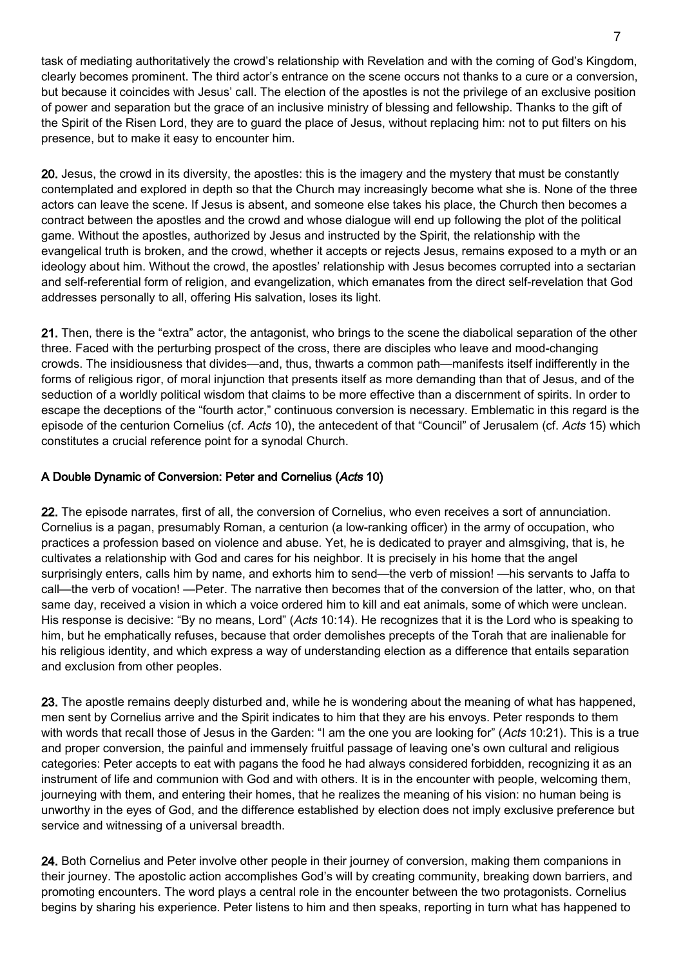task of mediating authoritatively the crowd's relationship with Revelation and with the coming of God's Kingdom, clearly becomes prominent. The third actor's entrance on the scene occurs not thanks to a cure or a conversion, but because it coincides with Jesus' call. The election of the apostles is not the privilege of an exclusive position of power and separation but the grace of an inclusive ministry of blessing and fellowship. Thanks to the gift of the Spirit of the Risen Lord, they are to guard the place of Jesus, without replacing him: not to put filters on his presence, but to make it easy to encounter him.

20. Jesus, the crowd in its diversity, the apostles: this is the imagery and the mystery that must be constantly contemplated and explored in depth so that the Church may increasingly become what she is. None of the three actors can leave the scene. If Jesus is absent, and someone else takes his place, the Church then becomes a contract between the apostles and the crowd and whose dialogue will end up following the plot of the political game. Without the apostles, authorized by Jesus and instructed by the Spirit, the relationship with the evangelical truth is broken, and the crowd, whether it accepts or rejects Jesus, remains exposed to a myth or an ideology about him. Without the crowd, the apostles' relationship with Jesus becomes corrupted into a sectarian and self-referential form of religion, and evangelization, which emanates from the direct self-revelation that God addresses personally to all, offering His salvation, loses its light.

21. Then, there is the "extra" actor, the antagonist, who brings to the scene the diabolical separation of the other three. Faced with the perturbing prospect of the cross, there are disciples who leave and mood-changing crowds. The insidiousness that divides—and, thus, thwarts a common path—manifests itself indifferently in the forms of religious rigor, of moral injunction that presents itself as more demanding than that of Jesus, and of the seduction of a worldly political wisdom that claims to be more effective than a discernment of spirits. In order to escape the deceptions of the "fourth actor," continuous conversion is necessary. Emblematic in this regard is the episode of the centurion Cornelius (cf. Acts 10), the antecedent of that "Council" of Jerusalem (cf. Acts 15) which constitutes a crucial reference point for a synodal Church.

#### A Double Dynamic of Conversion: Peter and Cornelius (Acts 10)

22. The episode narrates, first of all, the conversion of Cornelius, who even receives a sort of annunciation. Cornelius is a pagan, presumably Roman, a centurion (a low-ranking officer) in the army of occupation, who practices a profession based on violence and abuse. Yet, he is dedicated to prayer and almsgiving, that is, he cultivates a relationship with God and cares for his neighbor. It is precisely in his home that the angel surprisingly enters, calls him by name, and exhorts him to send—the verb of mission! —his servants to Jaffa to call—the verb of vocation! —Peter. The narrative then becomes that of the conversion of the latter, who, on that same day, received a vision in which a voice ordered him to kill and eat animals, some of which were unclean. His response is decisive: "By no means, Lord" (Acts 10:14). He recognizes that it is the Lord who is speaking to him, but he emphatically refuses, because that order demolishes precepts of the Torah that are inalienable for his religious identity, and which express a way of understanding election as a difference that entails separation and exclusion from other peoples.

23. The apostle remains deeply disturbed and, while he is wondering about the meaning of what has happened, men sent by Cornelius arrive and the Spirit indicates to him that they are his envoys. Peter responds to them with words that recall those of Jesus in the Garden: "I am the one you are looking for" (Acts 10:21). This is a true and proper conversion, the painful and immensely fruitful passage of leaving one's own cultural and religious categories: Peter accepts to eat with pagans the food he had always considered forbidden, recognizing it as an instrument of life and communion with God and with others. It is in the encounter with people, welcoming them, journeying with them, and entering their homes, that he realizes the meaning of his vision: no human being is unworthy in the eyes of God, and the difference established by election does not imply exclusive preference but service and witnessing of a universal breadth.

24. Both Cornelius and Peter involve other people in their journey of conversion, making them companions in their journey. The apostolic action accomplishes God's will by creating community, breaking down barriers, and promoting encounters. The word plays a central role in the encounter between the two protagonists. Cornelius begins by sharing his experience. Peter listens to him and then speaks, reporting in turn what has happened to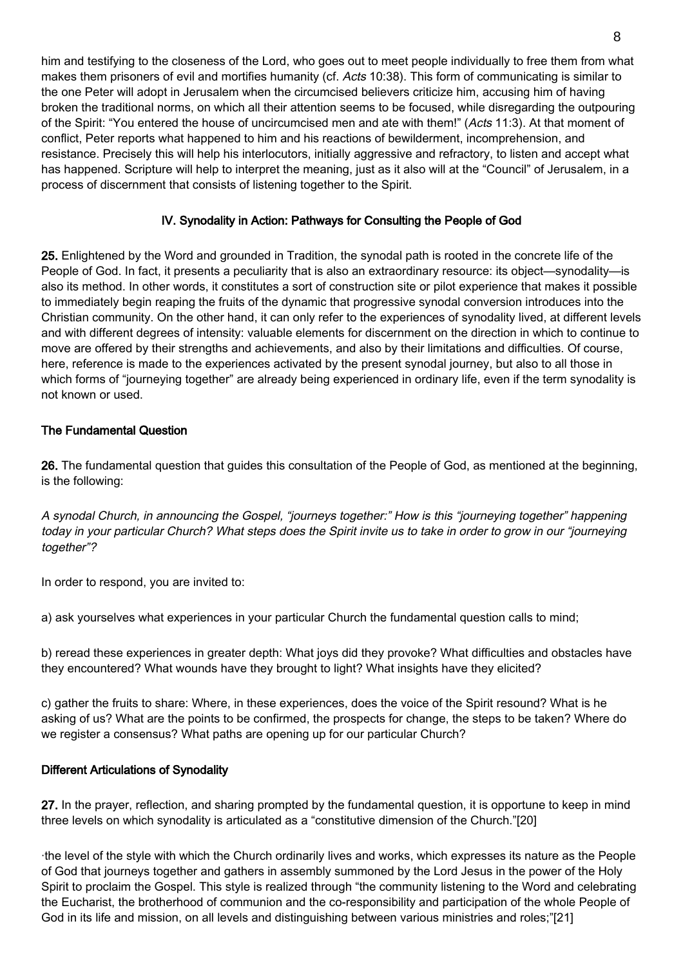him and testifying to the closeness of the Lord, who goes out to meet people individually to free them from what makes them prisoners of evil and mortifies humanity (cf. Acts 10:38). This form of communicating is similar to the one Peter will adopt in Jerusalem when the circumcised believers criticize him, accusing him of having broken the traditional norms, on which all their attention seems to be focused, while disregarding the outpouring of the Spirit: "You entered the house of uncircumcised men and ate with them!" (Acts 11:3). At that moment of conflict, Peter reports what happened to him and his reactions of bewilderment, incomprehension, and resistance. Precisely this will help his interlocutors, initially aggressive and refractory, to listen and accept what has happened. Scripture will help to interpret the meaning, just as it also will at the "Council" of Jerusalem, in a process of discernment that consists of listening together to the Spirit.

## IV. Synodality in Action: Pathways for Consulting the People of God

25. Enlightened by the Word and grounded in Tradition, the synodal path is rooted in the concrete life of the People of God. In fact, it presents a peculiarity that is also an extraordinary resource: its object—synodality—is also its method. In other words, it constitutes a sort of construction site or pilot experience that makes it possible to immediately begin reaping the fruits of the dynamic that progressive synodal conversion introduces into the Christian community. On the other hand, it can only refer to the experiences of synodality lived, at different levels and with different degrees of intensity: valuable elements for discernment on the direction in which to continue to move are offered by their strengths and achievements, and also by their limitations and difficulties. Of course, here, reference is made to the experiences activated by the present synodal journey, but also to all those in which forms of "journeying together" are already being experienced in ordinary life, even if the term synodality is not known or used.

## The Fundamental Question

26. The fundamental question that guides this consultation of the People of God, as mentioned at the beginning, is the following:

A synodal Church, in announcing the Gospel, "journeys together:" How is this "journeying together" happening today in your particular Church? What steps does the Spirit invite us to take in order to grow in our "journeying together"?

In order to respond, you are invited to:

a) ask yourselves what experiences in your particular Church the fundamental question calls to mind;

b) reread these experiences in greater depth: What joys did they provoke? What difficulties and obstacles have they encountered? What wounds have they brought to light? What insights have they elicited?

c) gather the fruits to share: Where, in these experiences, does the voice of the Spirit resound? What is he asking of us? What are the points to be confirmed, the prospects for change, the steps to be taken? Where do we register a consensus? What paths are opening up for our particular Church?

#### Different Articulations of Synodality

27. In the prayer, reflection, and sharing prompted by the fundamental question, it is opportune to keep in mind three levels on which synodality is articulated as a "constitutive dimension of the Church."[20]

·the level of the style with which the Church ordinarily lives and works, which expresses its nature as the People of God that journeys together and gathers in assembly summoned by the Lord Jesus in the power of the Holy Spirit to proclaim the Gospel. This style is realized through "the community listening to the Word and celebrating the Eucharist, the brotherhood of communion and the co-responsibility and participation of the whole People of God in its life and mission, on all levels and distinguishing between various ministries and roles;"[21]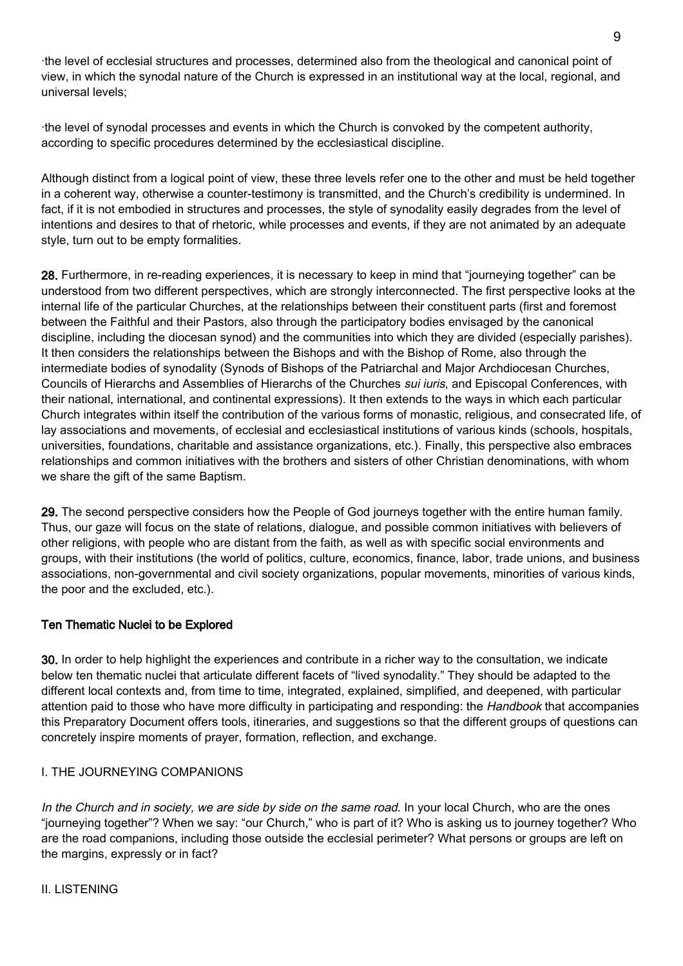·the level of ecclesial structures and processes, determined also from the theological and canonical point of view, in which the synodal nature of the Church is expressed in an institutional way at the local, regional, and universal levels;

·the level of synodal processes and events in which the Church is convoked by the competent authority, according to specific procedures determined by the ecclesiastical discipline.

Although distinct from a logical point of view, these three levels refer one to the other and must be held together in a coherent way, otherwise a counter-testimony is transmitted, and the Church's credibility is undermined. In fact, if it is not embodied in structures and processes, the style of synodality easily degrades from the level of intentions and desires to that of rhetoric, while processes and events, if they are not animated by an adequate style, turn out to be empty formalities.

28. Furthermore, in re-reading experiences, it is necessary to keep in mind that "journeying together" can be understood from two different perspectives, which are strongly interconnected. The first perspective looks at the internal life of the particular Churches, at the relationships between their constituent parts (first and foremost between the Faithful and their Pastors, also through the participatory bodies envisaged by the canonical discipline, including the diocesan synod) and the communities into which they are divided (especially parishes). It then considers the relationships between the Bishops and with the Bishop of Rome, also through the intermediate bodies of synodality (Synods of Bishops of the Patriarchal and Major Archdiocesan Churches, Councils of Hierarchs and Assemblies of Hierarchs of the Churches *sui iuris*, and Episcopal Conferences, with their national, international, and continental expressions). It then extends to the ways in which each particular Church integrates within itself the contribution of the various forms of monastic, religious, and consecrated life, of lay associations and movements, of ecclesial and ecclesiastical institutions of various kinds (schools, hospitals, universities, foundations, charitable and assistance organizations, etc.). Finally, this perspective also embraces relationships and common initiatives with the brothers and sisters of other Christian denominations, with whom we share the gift of the same Baptism.

29. The second perspective considers how the People of God journeys together with the entire human family. Thus, our gaze will focus on the state of relations, dialogue, and possible common initiatives with believers of other religions, with people who are distant from the faith, as well as with specific social environments and groups, with their institutions (the world of politics, culture, economics, finance, labor, trade unions, and business associations, non-governmental and civil society organizations, popular movements, minorities of various kinds, the poor and the excluded, etc.).

#### Ten Thematic Nuclei to be Explored

30. In order to help highlight the experiences and contribute in a richer way to the consultation, we indicate below ten thematic nuclei that articulate different facets of "lived synodality." They should be adapted to the different local contexts and, from time to time, integrated, explained, simplified, and deepened, with particular attention paid to those who have more difficulty in participating and responding: the Handbook that accompanies this Preparatory Document offers tools, itineraries, and suggestions so that the different groups of questions can concretely inspire moments of prayer, formation, reflection, and exchange.

#### I. THE JOURNEYING COMPANIONS

In the Church and in society, we are side by side on the same road. In your local Church, who are the ones "journeying together"? When we say: "our Church," who is part of it? Who is asking us to journey together? Who are the road companions, including those outside the ecclesial perimeter? What persons or groups are left on the margins, expressly or in fact?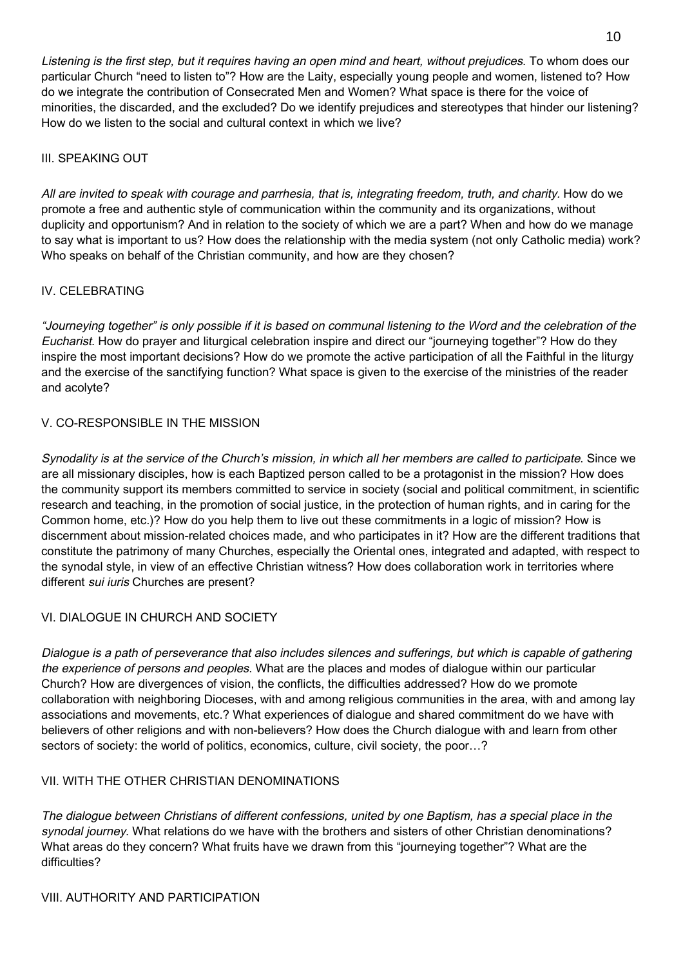Listening is the first step, but it requires having an open mind and heart, without prejudices. To whom does our particular Church "need to listen to"? How are the Laity, especially young people and women, listened to? How do we integrate the contribution of Consecrated Men and Women? What space is there for the voice of minorities, the discarded, and the excluded? Do we identify prejudices and stereotypes that hinder our listening? How do we listen to the social and cultural context in which we live?

#### III. SPEAKING OUT

All are invited to speak with courage and parrhesia, that is, integrating freedom, truth, and charity. How do we promote a free and authentic style of communication within the community and its organizations, without duplicity and opportunism? And in relation to the society of which we are a part? When and how do we manage to say what is important to us? How does the relationship with the media system (not only Catholic media) work? Who speaks on behalf of the Christian community, and how are they chosen?

## IV. CELEBRATING

"Journeying together" is only possible if it is based on communal listening to the Word and the celebration of the Eucharist. How do prayer and liturgical celebration inspire and direct our "journeying together"? How do they inspire the most important decisions? How do we promote the active participation of all the Faithful in the liturgy and the exercise of the sanctifying function? What space is given to the exercise of the ministries of the reader and acolyte?

## V. CO-RESPONSIBLE IN THE MISSION

Synodality is at the service of the Church's mission, in which all her members are called to participate. Since we are all missionary disciples, how is each Baptized person called to be a protagonist in the mission? How does the community support its members committed to service in society (social and political commitment, in scientific research and teaching, in the promotion of social justice, in the protection of human rights, and in caring for the Common home, etc.)? How do you help them to live out these commitments in a logic of mission? How is discernment about mission-related choices made, and who participates in it? How are the different traditions that constitute the patrimony of many Churches, especially the Oriental ones, integrated and adapted, with respect to the synodal style, in view of an effective Christian witness? How does collaboration work in territories where different sui iuris Churches are present?

## VI. DIALOGUE IN CHURCH AND SOCIETY

Dialogue is a path of perseverance that also includes silences and sufferings, but which is capable of gathering the experience of persons and peoples. What are the places and modes of dialogue within our particular Church? How are divergences of vision, the conflicts, the difficulties addressed? How do we promote collaboration with neighboring Dioceses, with and among religious communities in the area, with and among lay associations and movements, etc.? What experiences of dialogue and shared commitment do we have with believers of other religions and with non-believers? How does the Church dialogue with and learn from other sectors of society: the world of politics, economics, culture, civil society, the poor…?

#### VII. WITH THE OTHER CHRISTIAN DENOMINATIONS

The dialogue between Christians of different confessions, united by one Baptism, has a special place in the synodal journey. What relations do we have with the brothers and sisters of other Christian denominations? What areas do they concern? What fruits have we drawn from this "journeying together"? What are the difficulties?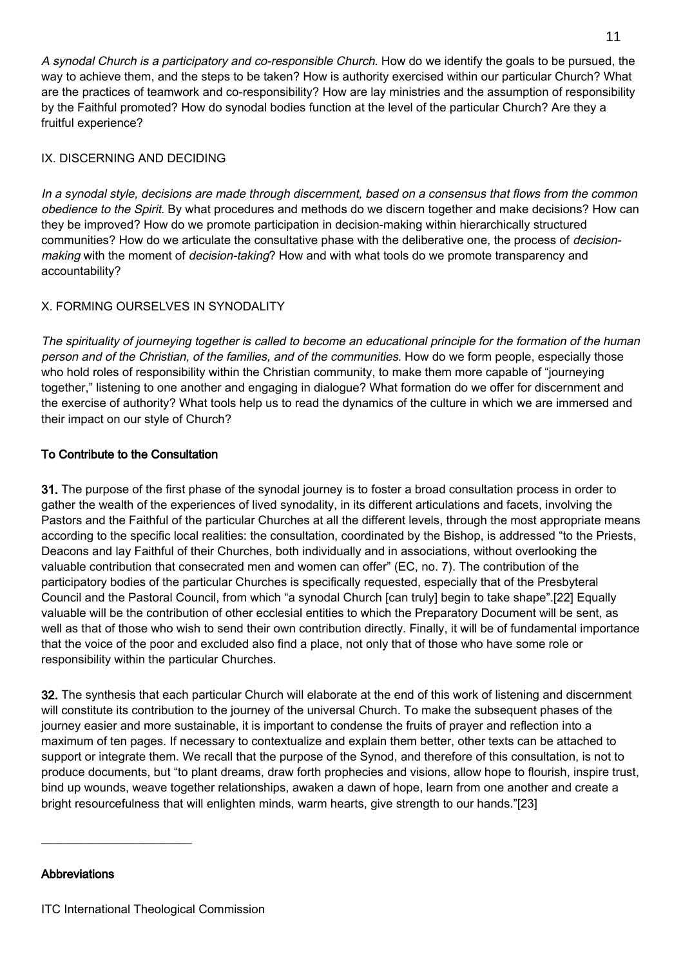A synodal Church is a participatory and co-responsible Church. How do we identify the goals to be pursued, the way to achieve them, and the steps to be taken? How is authority exercised within our particular Church? What are the practices of teamwork and co-responsibility? How are lay ministries and the assumption of responsibility by the Faithful promoted? How do synodal bodies function at the level of the particular Church? Are they a fruitful experience?

### IX. DISCERNING AND DECIDING

In a synodal style, decisions are made through discernment, based on a consensus that flows from the common obedience to the Spirit. By what procedures and methods do we discern together and make decisions? How can they be improved? How do we promote participation in decision-making within hierarchically structured communities? How do we articulate the consultative phase with the deliberative one, the process of decisionmaking with the moment of *decision-taking*? How and with what tools do we promote transparency and accountability?

## X. FORMING OURSELVES IN SYNODALITY

The spirituality of journeying together is called to become an educational principle for the formation of the human person and of the Christian, of the families, and of the communities. How do we form people, especially those who hold roles of responsibility within the Christian community, to make them more capable of "journeying together," listening to one another and engaging in dialogue? What formation do we offer for discernment and the exercise of authority? What tools help us to read the dynamics of the culture in which we are immersed and their impact on our style of Church?

## To Contribute to the Consultation

31. The purpose of the first phase of the synodal journey is to foster a broad consultation process in order to gather the wealth of the experiences of lived synodality, in its different articulations and facets, involving the Pastors and the Faithful of the particular Churches at all the different levels, through the most appropriate means according to the specific local realities: the consultation, coordinated by the Bishop, is addressed "to the Priests, Deacons and lay Faithful of their Churches, both individually and in associations, without overlooking the valuable contribution that consecrated men and women can offer" (EC, no. 7). The contribution of the participatory bodies of the particular Churches is specifically requested, especially that of the Presbyteral Council and the Pastoral Council, from which "a synodal Church [can truly] begin to take shape".[22] Equally valuable will be the contribution of other ecclesial entities to which the Preparatory Document will be sent, as well as that of those who wish to send their own contribution directly. Finally, it will be of fundamental importance that the voice of the poor and excluded also find a place, not only that of those who have some role or responsibility within the particular Churches.

32. The synthesis that each particular Church will elaborate at the end of this work of listening and discernment will constitute its contribution to the journey of the universal Church. To make the subsequent phases of the journey easier and more sustainable, it is important to condense the fruits of prayer and reflection into a maximum of ten pages. If necessary to contextualize and explain them better, other texts can be attached to support or integrate them. We recall that the purpose of the Synod, and therefore of this consultation, is not to produce documents, but "to plant dreams, draw forth prophecies and visions, allow hope to flourish, inspire trust, bind up wounds, weave together relationships, awaken a dawn of hope, learn from one another and create a bright resourcefulness that will enlighten minds, warm hearts, give strength to our hands."[23]

#### Abbreviations

 $\_$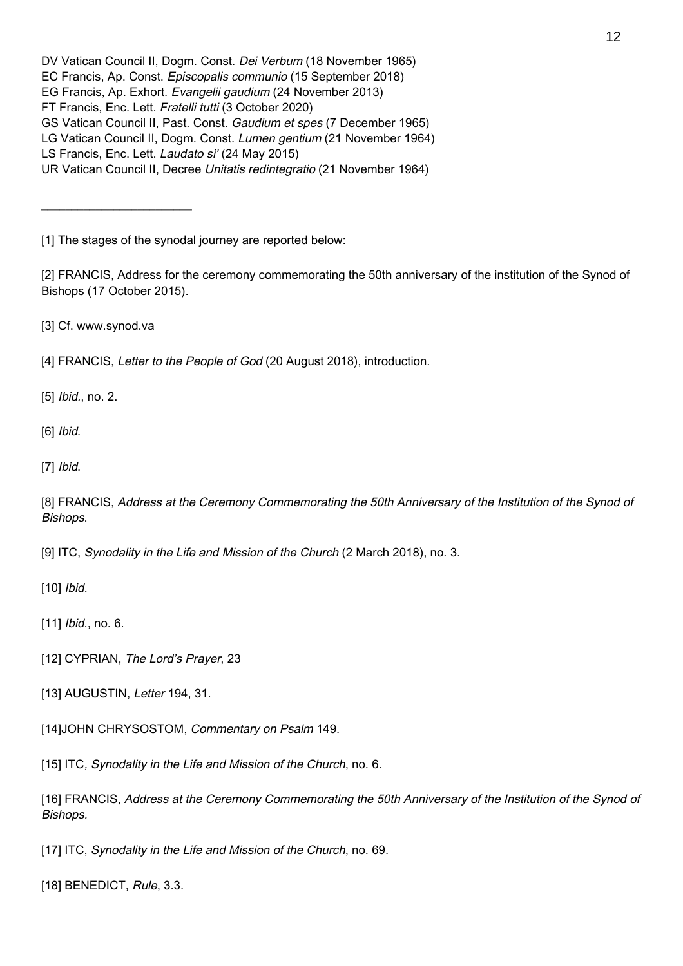[1] The stages of the synodal journey are reported below:

[2] FRANCIS, Address for the ceremony commemorating the 50th anniversary of the institution of the Synod of Bishops (17 October 2015).

[3] Cf. www.synod.va

\_\_\_\_\_\_\_\_\_\_\_\_\_\_\_\_\_\_\_\_\_\_\_\_\_

[4] FRANCIS, Letter to the People of God (20 August 2018), introduction.

[5] *Ibid.*, no. 2.

[6] *Ibid.* 

[7] Ibid.

[8] FRANCIS, Address at the Ceremony Commemorating the 50th Anniversary of the Institution of the Synod of Bishops.

[9] ITC, Synodality in the Life and Mission of the Church (2 March 2018), no. 3.

[10] *Ibid.* 

[11] *Ibid.*, no. 6.

[12] CYPRIAN, The Lord's Prayer, 23

[13] AUGUSTIN, Letter 194, 31.

[14]JOHN CHRYSOSTOM, Commentary on Psalm 149.

[15] ITC, Synodality in the Life and Mission of the Church, no. 6.

[16] FRANCIS, Address at the Ceremony Commemorating the 50th Anniversary of the Institution of the Synod of Bishops.

[17] ITC, Synodality in the Life and Mission of the Church, no. 69.

[18] BENEDICT, Rule, 3.3.

DV Vatican Council II, Dogm. Const. Dei Verbum (18 November 1965)

EC Francis, Ap. Const. Episcopalis communio (15 September 2018)

EG Francis, Ap. Exhort. Evangelii gaudium (24 November 2013)

FT Francis, Enc. Lett. Fratelli tutti (3 October 2020)

GS Vatican Council II, Past. Const. Gaudium et spes (7 December 1965)

LG Vatican Council II, Dogm. Const. Lumen gentium (21 November 1964)

LS Francis, Enc. Lett. Laudato si' (24 May 2015)

UR Vatican Council II, Decree Unitatis redintegratio (21 November 1964)